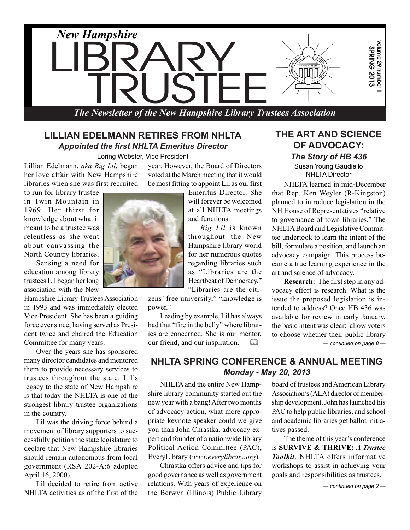

#### **LILLIAN EDELMANN RETIRES FROM NHLTA** *Appointed the first NHLTA Emeritus Director*

Loring Webster, Vice President

Lillian Edelmann, *aka Big Lil*, began her love affair with New Hampshire libraries when she was first recruited

to run for library trustee in Twin Mountain in 1969. Her thirst for knowledge about what it meant to be a trustee was relentless as she went about canvassing the North Country libraries.

Sensing a need for education among library trustees Lil began her long association with the New

Hampshire Library Trustees Association in 1993 and was immediately elected Vice President. She has been a guiding force ever since; having served as President twice and chaired the Education Committee for many years.

Over the years she has sponsored many director candidates and mentored them to provide necessary services to trustees throughout the state. Lil's legacy to the state of New Hampshire is that today the NHLTA is one of the strongest library trustee organizations in the country.

Lil was the driving force behind a movement of library supporters to successfully petition the state legislature to declare that New Hampshire libraries should remain autonomous from local government (RSA 202-A:6 adopted April 16, 2000).

Lil decided to retire from active NHLTA activities as of the first of the year. However, the Board of Directors voted at the March meeting that it would be most fitting to appoint Lil as our first

Emeritus Director. She will forever be welcomed at all NHLTA meetings and functions.

*Big Lil* is known throughout the New Hampshire library world for her numerous quotes regarding libraries such as "Libraries are the Heartbeat of Democracy," "Libraries are the citi-

zens' free university," "knowledge is nower"

Leading by example, Lil has always had that "fire in the belly" where libraries are concerned. She is our mentor, our friend, and our inspiration. 

# **THE ART AND SCIENCE OF ADVOCACY:** *The Story of HB 436*

Susan Young Gaudiello NHLTA Director

NHLTA learned in mid-December that Rep. Ken Weyler (R-Kingston) planned to introduce legislation in the NH House of Representatives "relative to governance of town libraries." The NHLTA Board and Legislative Committee undertook to learn the intent of the bill, formulate a position, and launch an advocacy campaign. This process became a true learning experience in the art and science of advocacy.

*— continued on page 8 —* **Research:** The first step in any advocacy effort is research. What is the issue the proposed legislation is intended to address? Once HB 436 was available for review in early January, the basic intent was clear: allow voters to choose whether their public library

**NHLTA SPRING CONFERENCE & ANNUAL MEETING** *Monday - May 20, 2013*

NHLTA and the entire New Hampshire library community started out the new year with a bang! After two months of advocacy action, what more appropriate keynote speaker could we give you than John Chrastka, advocacy expert and founder of a nationwide library Political Action Committee (PAC), EveryLibrary (*www.everylibrary.org*).

Chrastka offers advice and tips for good governance as well as government relations. With years of experience on the Berwyn (Illinois) Public Library

Association's (ALA) director of memberboard of trustees and American Library ship development, John has launched his PAC to help public libraries, and school and academic libraries get ballot initiatives passed.

The theme of this year's conference is **SURVIVE & THRIVE:** *A Trustee Toolkit*. NHLTA offers informative workshops to assist in achieving your goals and responsibilities as trustees.

*— continued on page 2 —*

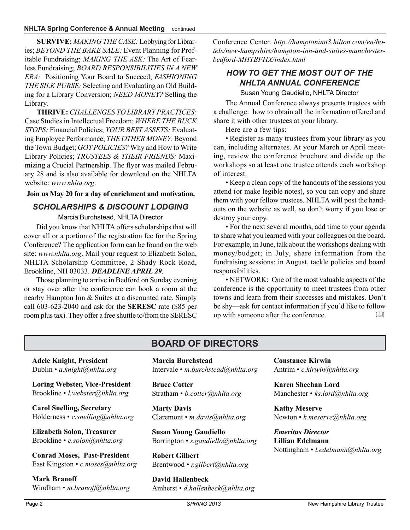**SURVIVE:** *MAKING THE CASE:* Lobbying for Libraries; *BEYOND THE BAKE SALE:* Event Planning for Profitable Fundraising; *MAKING THE ASK:* The Art of Fearless Fundraising; *BOARD RESPONSIBILITIES IN A NEW ERA:* Positioning Your Board to Succeed; *FASHIONING THE SILK PURSE:* Selecting and Evaluating an Old Building for a Library Conversion; *NEED MONEY?* Selling the Library.

**THRIVE:** *CHALLENGES TO LIBRARY PRACTICES:* Case Studies in Intellectual Freedom; *WHERE THE BUCK STOPS:* Financial Policies; *YOUR BEST ASSETS:* Evaluating Employee Performance; *THE OTHER MONEY:* Beyond the Town Budget; *GOT POLICIES?* Why and How to Write Library Policies; *TRUSTEES & THEIR FRIENDS:* Maximizing a Crucial Partnership. The flyer was mailed February 28 and is also available for download on the NHLTA website: *www.nhlta.org*.

#### **Join us May 20 for a day of enrichment and motivation.**

#### *SCHOLARSHIPS & DISCOUNT LODGING*

Marcia Burchstead, NHLTA Director

Did you know that NHLTA offers scholarships that will cover all or a portion of the registration fee for the Spring Conference? The application form can be found on the web site: *www.nhlta.org*. Mail your request to Elizabeth Solon, NHLTA Scholarship Committee, 2 Shady Rock Road, Brookline, NH 03033. *DEADLINE APRIL 29*.

Those planning to arrive in Bedford on Sunday evening or stay over after the conference can book a room at the nearby Hampton Inn & Suites at a discounted rate. Simply call 603-623-2040 and ask for the **SERESC** rate (\$85 per room plus tax). They offer a free shuttle to/from the SERESC

Conference Center. *http://hamptoninn3.hilton.com/en/hotels/new-hampshire/hampton-inn-and-suites-manchesterbedford-MHTBFHX/index.html*

#### *HOW TO GET THE MOST OUT OF THE NHLTA ANNUAL CONFERENCE*

Susan Young Gaudiello, NHLTA Director

The Annual Conference always presents trustees with a challenge: how to obtain all the information offered and share it with other trustees at your library.

Here are a few tips:

• Register as many trustees from your library as you can, including alternates. At your March or April meeting, review the conference brochure and divide up the workshops so at least one trustee attends each workshop of interest.

• Keep a clean copy of the handouts of the sessions you attend (or make legible notes), so you can copy and share them with your fellow trustees. NHLTA will post the handouts on the website as well, so don't worry if you lose or destroy your copy.

• For the next several months, add time to your agenda to share what you learned with your colleagues on the board. For example, in June, talk about the workshops dealing with money/budget; in July, share information from the fundraising sessions; in August, tackle policies and board responsibilities.

• NETWORK: One of the most valuable aspects of the conference is the opportunity to meet trustees from other towns and learn from their successes and mistakes. Don't be shy—ask for contact information if you'd like to follow up with someone after the conference. 

# **BOARD OF DIRECTORS**

**Adele Knight, President** Dublin • *a.knight@nhlta.org*

**Loring Webster, Vice-President** Brookline • *l.webster@nhlta.org*

**Carol Snelling, Secretary** Holderness • *c.snelling@nhlta.org*

**Elizabeth Solon, Treasurer** Brookline • *e.solon@nhlta.org*

**Conrad Moses, Past-President** East Kingston • *c.moses@nhlta.org*

**Mark Branoff** Windham • *m.branoff@nhlta.org* **Marcia Burchstead** Intervale • *m.burchstead@nhlta.org*

**Bruce Cotter** Stratham • *b.cotter@nhlta.org*

**Marty Davis** Claremont • *m.davis@nhlta.org*

**Susan Young Gaudiello** Barrington • *s.gaudiello@nhlta.org*

**Robert Gilbert** Brentwood • *r.gilbert@nhlta.org*

**David Hallenbeck** Amherst • *d.hallenbeck@nhlta.org* **Constance Kirwin** Antrim • *c.kirwin@nhlta.org*

**Karen Sheehan Lord** Manchester • *ks.lord@nhlta.org*

**Kathy Meserve** Newton • *k.meserve@nhlta.org*

*Emeritus Director* **Lillian Edelmann** Nottingham • *l.edelmann@nhlta.org*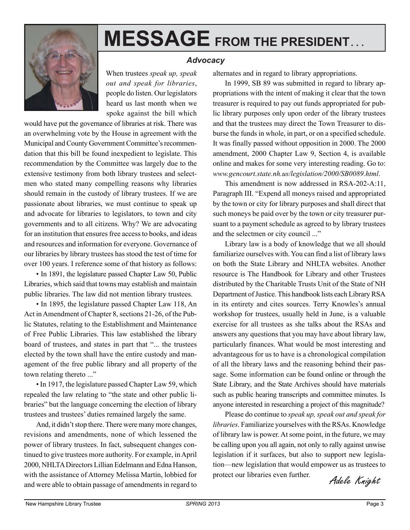

# **MESSAGE FROM THE PRESIDENT. . .**

#### *Advocacy*

When trustees *speak up, speak out and speak for libraries*, people do listen. Our legislators heard us last month when we spoke against the bill which

would have put the governance of libraries at risk. There was an overwhelming vote by the House in agreement with the Municipal and County Government Committee's recommendation that this bill be found inexpedient to legislate. This recommendation by the Committee was largely due to the extensive testimony from both library trustees and selectmen who stated many compelling reasons why libraries should remain in the custody of library trustees. If we are passionate about libraries, we must continue to speak up and advocate for libraries to legislators, to town and city governments and to all citizens. Why? We are advocating for an institution that ensures free access to books, and ideas and resources and information for everyone. Governance of our libraries by library trustees has stood the test of time for over 100 years. I reference some of that history as follows:

• In 1891, the legislature passed Chapter Law 50, Public Libraries, which said that towns may establish and maintain public libraries. The law did not mention library trustees.

• In 1895, the legislature passed Chapter Law 118, An Act in Amendment of Chapter 8, sections 21-26, of the Public Statutes, relating to the Establishment and Maintenance of Free Public Libraries. This law established the library board of trustees, and states in part that "... the trustees elected by the town shall have the entire custody and management of the free public library and all property of the town relating thereto ..."

• In 1917, the legislature passed Chapter Law 59, which repealed the law relating to "the state and other public libraries" but the language concerning the election of library trustees and trustees' duties remained largely the same.

And, it didn't stop there. There were many more changes, revisions and amendments, none of which lessened the power of library trustees. In fact, subsequent changes continued to give trustees more authority. For example, in April 2000, NHLTA Directors Lillian Edelmann and Edna Hanson, with the assistance of Attorney Melissa Martin, lobbied for and were able to obtain passage of amendments in regard to alternates and in regard to library appropriations.

In 1999, SB 89 was submitted in regard to library appropriations with the intent of making it clear that the town treasurer is required to pay out funds appropriated for public library purposes only upon order of the library trustees and that the trustees may direct the Town Treasurer to disburse the funds in whole, in part, or on a specified schedule. It was finally passed without opposition in 2000. The 2000 amendment, 2000 Chapter Law 9, Section 4, is available online and makes for some very interesting reading. Go to: *www.gencourt.state.nh.us/legislation/2000/SB0089.html*.

This amendment is now addressed in RSA-202-A:11, Paragraph III. "Expend all moneys raised and appropriated by the town or city for library purposes and shall direct that such moneys be paid over by the town or city treasurer pursuant to a payment schedule as agreed to by library trustees and the selectmen or city council ..."

Library law is a body of knowledge that we all should familiarize ourselves with. You can find a list of library laws on both the State Library and NHLTA websites. Another resource is The Handbook for Library and other Trustees distributed by the Charitable Trusts Unit of the State of NH Department of Justice. This handbook lists each Library RSA in its entirety and cites sources. Terry Knowles's annual workshop for trustees, usually held in June, is a valuable exercise for all trustees as she talks about the RSAs and answers any questions that you may have about library law, particularly finances. What would be most interesting and advantageous for us to have is a chronological compilation of all the library laws and the reasoning behind their passage. Some information can be found online or through the State Library, and the State Archives should have materials such as public hearing transcripts and committee minutes. Is anyone interested in researching a project of this magnitude?

Please do continue to *speak up, speak out and speak for libraries*. Familiarize yourselves with the RSAs. Knowledge of library law is power. At some point, in the future, we may be calling upon you all again, not only to rally against unwise legislation if it surfaces, but also to support new legislation—new legislation that would empower us as trustees to protect our libraries even further.

Adele Knight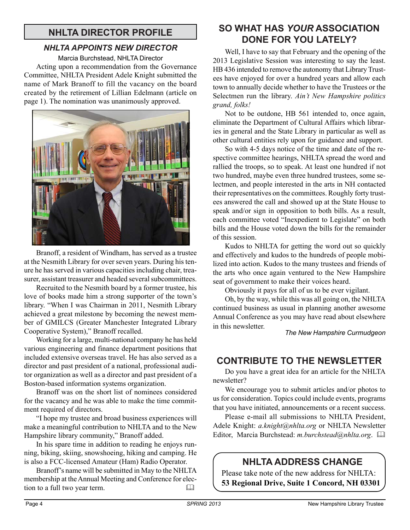# **NHLTA DIRECTOR PROFILE**

#### *NHLTA APPOINTS NEW DIRECTOR*

Marcia Burchstead, NHLTA Director

Acting upon a recommendation from the Governance Committee, NHLTA President Adele Knight submitted the name of Mark Branoff to fill the vacancy on the board created by the retirement of Lillian Edelmann (article on page 1). The nomination was unanimously approved.



Branoff, a resident of Windham, has served as a trustee at the Nesmith Library for over seven years. During his tenure he has served in various capacities including chair, treasurer, assistant treasurer and headed several subcommittees.

Recruited to the Nesmith board by a former trustee, his love of books made him a strong supporter of the town's library. "When I was Chairman in 2011, Nesmith Library achieved a great milestone by becoming the newest member of GMILCS (Greater Manchester Integrated Library Cooperative System)," Branoff recalled.

Working for a large, multi-national company he has held various engineering and finance department positions that included extensive overseas travel. He has also served as a director and past president of a national, professional auditor organization as well as a director and past president of a Boston-based information systems organization.

Branoff was on the short list of nominees considered for the vacancy and he was able to make the time commitment required of directors.

"I hope my trustee and broad business experiences will make a meaningful contribution to NHLTA and to the New Hampshire library community," Branoff added.

In his spare time in addition to reading he enjoys running, biking, skiing, snowshoeing, hiking and camping. He is also a FCC-licensed Amateur (Ham) Radio Operator.

Branoff's name will be submitted in May to the NHLTA membership at the Annual Meeting and Conference for election to a full two year term. 

# **SO WHAT HAS** *YOUR* **ASSOCIATION DONE FOR YOU LATELY?**

Well, I have to say that February and the opening of the 2013 Legislative Session was interesting to say the least. HB 436 intended to remove the autonomy that Library Trustees have enjoyed for over a hundred years and allow each town to annually decide whether to have the Trustees or the Selectmen run the library. *Ain't New Hampshire politics grand, folks!*

Not to be outdone, HB 561 intended to, once again, eliminate the Department of Cultural Affairs which libraries in general and the State Library in particular as well as other cultural entities rely upon for guidance and support.

So with 4-5 days notice of the time and date of the respective committee hearings, NHLTA spread the word and rallied the troops, so to speak. At least one hundred if not two hundred, maybe even three hundred trustees, some selectmen, and people interested in the arts in NH contacted their representatives on the committees. Roughly forty trustees answered the call and showed up at the State House to speak and/or sign in opposition to both bills. As a result, each committee voted "Inexpedient to Legislate" on both bills and the House voted down the bills for the remainder of this session.

Kudos to NHLTA for getting the word out so quickly and effectively and kudos to the hundreds of people mobilized into action. Kudos to the many trustees and friends of the arts who once again ventured to the New Hampshire seat of government to make their voices heard.

Obviously it pays for all of us to be ever vigilant.

Oh, by the way, while this was all going on, the NHLTA continued business as usual in planning another awesome Annual Conference as you may have read about elsewhere in this newsletter.

*The New Hampshire Curmudgeon*

# **CONTRIBUTE TO THE NEWSLETTER**

Do you have a great idea for an article for the NHLTA newsletter?

We encourage you to submit articles and/or photos to us for consideration. Topics could include events, programs that you have initiated, announcements or a recent success.

Please e-mail all submissions to NHLTA President, Adele Knight: *a.knight@nhlta.org* or NHLTA Newsletter Editor, Marcia Burchstead: *m.burchstead@nhlta.org*. 

# **NHLTA ADDRESS CHANGE**

Please take note of the new address for NHLTA: **53 Regional Drive, Suite 1 Concord, NH 03301**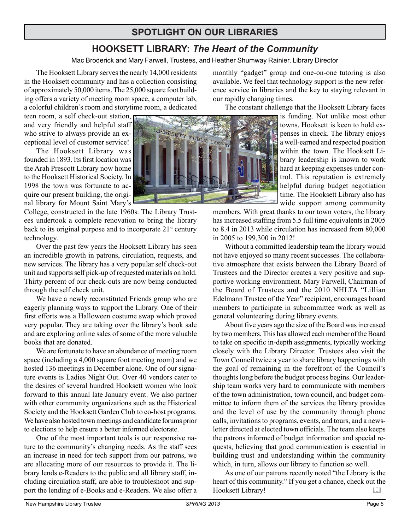# **SPOTLIGHT ON OUR LIBRARIES**

# **HOOKSETT LIBRARY:** *The Heart of the Community*

Mac Broderick and Mary Farwell, Trustees, and Heather Shumway Rainier, Library Director

The Hooksett Library serves the nearly 14,000 residents in the Hooksett community and has a collection consisting of approximately 50,000 items. The 25,000 square foot building offers a variety of meeting room space, a computer lab, a colorful children's room and storytime room, a dedicated

teen room, a self check-out station, and very friendly and helpful staff who strive to always provide an exceptional level of customer service!

The Hooksett Library was founded in 1893. Its first location was the Arah Prescott Library now home to the Hooksett Historical Society. In 1998 the town was fortunate to acquire our present building, the original library for Mount Saint Mary's

College, constructed in the late 1960s. The Library Trustees undertook a complete renovation to bring the library back to its original purpose and to incorporate  $21<sup>st</sup>$  century technology.

Over the past few years the Hooksett Library has seen an incredible growth in patrons, circulation, requests, and new services. The library has a very popular self check-out unit and supports self pick-up of requested materials on hold. Thirty percent of our check-outs are now being conducted through the self check unit.

We have a newly reconstituted Friends group who are eagerly planning ways to support the Library. One of their first efforts was a Halloween costume swap which proved very popular. They are taking over the library's book sale and are exploring online sales of some of the more valuable books that are donated.

We are fortunate to have an abundance of meeting room space (including a 4,000 square foot meeting room) and we hosted 136 meetings in December alone. One of our signature events is Ladies Night Out. Over 40 vendors cater to the desires of several hundred Hooksett women who look forward to this annual late January event. We also partner with other community organizations such as the Historical Society and the Hooksett Garden Club to co-host programs. We have also hosted town meetings and candidate forums prior to elections to help ensure a better informed electorate.

One of the most important tools is our responsive nature to the community's changing needs. As the staff sees an increase in need for tech support from our patrons, we are allocating more of our resources to provide it. The library lends e-Readers to the public and all library staff, including circulation staff, are able to troubleshoot and support the lending of e-Books and e-Readers. We also offer a



monthly "gadget" group and one-on-one tutoring is also available. We feel that technology support is the new reference service in libraries and the key to staying relevant in our rapidly changing times.

The constant challenge that the Hooksett Library faces

is funding. Not unlike most other towns, Hooksett is keen to hold expenses in check. The library enjoys a well-earned and respected position within the town. The Hooksett Library leadership is known to work hard at keeping expenses under control. This reputation is extremely helpful during budget negotiation time. The Hooksett Library also has wide support among community

members. With great thanks to our town voters, the library has increased staffing from 5.5 full time equivalents in 2005 to 8.4 in 2013 while circulation has increased from 80,000 in 2005 to 199,300 in 2012!

Without a committed leadership team the library would not have enjoyed so many recent successes. The collaborative atmosphere that exists between the Library Board of Trustees and the Director creates a very positive and supportive working environment. Mary Farwell, Chairman of the Board of Trustees and the 2010 NHLTA "Lillian Edelmann Trustee of the Year" recipient, encourages board members to participate in subcommittee work as well as general volunteering during library events.

About five years ago the size of the Board was increased by two members. This has allowed each member of the Board to take on specific in-depth assignments, typically working closely with the Library Director. Trustees also visit the Town Council twice a year to share library happenings with the goal of remaining in the forefront of the Council's thoughts long before the budget process begins. Our leadership team works very hard to communicate with members of the town administration, town council, and budget committee to inform them of the services the library provides and the level of use by the community through phone calls, invitations to programs, events, and tours, and a newsletter directed at elected town officials. The team also keeps the patrons informed of budget information and special requests, believing that good communication is essential in building trust and understanding within the community which, in turn, allows our library to function so well.

As one of our patrons recently noted "the Library is the heart of this community." If you get a chance, check out the Hooksett Library!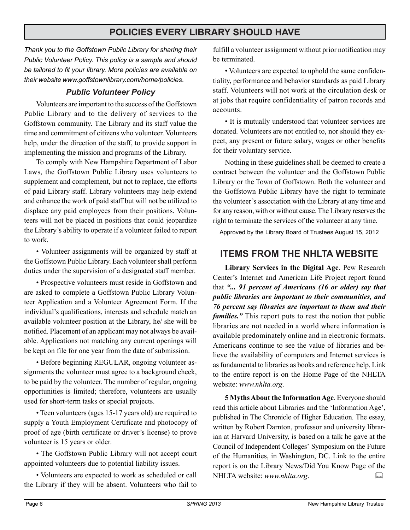# **POLICIES EVERY LIBRARY SHOULD HAVE**

*Thank you to the Goffstown Public Library for sharing their Public Volunteer Policy. This policy is a sample and should be tailored to fit your library. More policies are available on their website www.goffstownlibrary.com/home/policies*.

#### *Public Volunteer Policy*

Volunteers are important to the success of the Goffstown Public Library and to the delivery of services to the Goffstown community. The Library and its staff value the time and commitment of citizens who volunteer. Volunteers help, under the direction of the staff, to provide support in implementing the mission and programs of the Library.

To comply with New Hampshire Department of Labor Laws, the Goffstown Public Library uses volunteers to supplement and complement, but not to replace, the efforts of paid Library staff. Library volunteers may help extend and enhance the work of paid staff but will not be utilized to displace any paid employees from their positions. Volunteers will not be placed in positions that could jeopardize the Library's ability to operate if a volunteer failed to report to work.

• Volunteer assignments will be organized by staff at the Goffstown Public Library. Each volunteer shall perform duties under the supervision of a designated staff member.

• Prospective volunteers must reside in Goffstown and are asked to complete a Goffstown Public Library Volunteer Application and a Volunteer Agreement Form. If the individual's qualifications, interests and schedule match an available volunteer position at the Library, he/ she will be notified. Placement of an applicant may not always be available. Applications not matching any current openings will be kept on file for one year from the date of submission.

• Before beginning REGULAR, ongoing volunteer assignments the volunteer must agree to a background check, to be paid by the volunteer. The number of regular, ongoing opportunities is limited; therefore, volunteers are usually used for short-term tasks or special projects.

• Teen volunteers (ages 15-17 years old) are required to supply a Youth Employment Certificate and photocopy of proof of age (birth certificate or driver's license) to prove volunteer is 15 years or older.

• The Goffstown Public Library will not accept court appointed volunteers due to potential liability issues.

• Volunteers are expected to work as scheduled or call the Library if they will be absent. Volunteers who fail to fulfill a volunteer assignment without prior notification may be terminated.

• Volunteers are expected to uphold the same confidentiality, performance and behavior standards as paid Library staff. Volunteers will not work at the circulation desk or at jobs that require confidentiality of patron records and accounts.

• It is mutually understood that volunteer services are donated. Volunteers are not entitled to, nor should they expect, any present or future salary, wages or other benefits for their voluntary service.

Nothing in these guidelines shall be deemed to create a contract between the volunteer and the Goffstown Public Library or the Town of Goffstown. Both the volunteer and the Goffstown Public Library have the right to terminate the volunteer's association with the Library at any time and for any reason, with or without cause. The Library reserves the right to terminate the services of the volunteer at any time.

Approved by the Library Board of Trustees August 15, 2012

# **ITEMS FROM THE NHLTA WEBSITE**

**Library Services in the Digital Age**. Pew Research Center's Internet and American Life Project report found that *"... 91 percent of Americans (16 or older) say that public libraries are important to their communities, and 76 percent say libraries are important to them and their families."* This report puts to rest the notion that public libraries are not needed in a world where information is available predominately online and in electronic formats. Americans continue to see the value of libraries and believe the availability of computers and Internet services is as fundamental to libraries as books and reference help. Link to the entire report is on the Home Page of the NHLTA website: *www.nhlta.org*.

**5 Myths About the Information Age**. Everyone should read this article about Libraries and the 'Information Age', published in The Chronicle of Higher Education. The essay, written by Robert Darnton, professor and university librarian at Harvard University, is based on a talk he gave at the Council of Independent Colleges' Symposium on the Future of the Humanities, in Washington, DC. Link to the entire report is on the Library News/Did You Know Page of the NHLTA website: *www.nhlta.org*.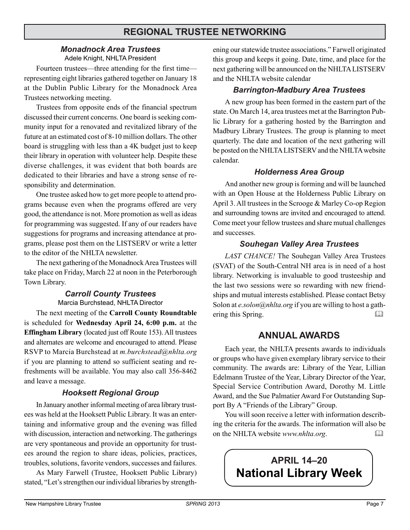# **REGIONAL TRUSTEE NETWORKING**

#### *Monadnock Area Trustees* Adele Knight, NHLTA President

Fourteen trustees—three attending for the first time representing eight libraries gathered together on January 18 at the Dublin Public Library for the Monadnock Area Trustees networking meeting.

Trustees from opposite ends of the financial spectrum discussed their current concerns. One board is seeking community input for a renovated and revitalized library of the future at an estimated cost of 8-10 million dollars. The other board is struggling with less than a 4K budget just to keep their library in operation with volunteer help. Despite these diverse challenges, it was evident that both boards are dedicated to their libraries and have a strong sense of responsibility and determination.

One trustee asked how to get more people to attend programs because even when the programs offered are very good, the attendance is not. More promotion as well as ideas for programming was suggested. If any of our readers have suggestions for programs and increasing attendance at programs, please post them on the LISTSERV or write a letter to the editor of the NHLTA newsletter.

The next gathering of the Monadnock Area Trustees will take place on Friday, March 22 at noon in the Peterborough Town Library.

#### *Carroll County Trustees* Marcia Burchstead, NHLTA Director

The next meeting of the **Carroll County Roundtable** is scheduled for **Wednesday April 24, 6:00 p.m.** at the **Effingham Library** (located just off Route 153). All trustees and alternates are welcome and encouraged to attend. Please RSVP to Marcia Burchstead at *m.burchstead@nhlta.org* if you are planning to attend so sufficient seating and refreshments will be available. You may also call 356-8462 and leave a message.

#### *Hooksett Regional Group*

In January another informal meeting of area library trustees was held at the Hooksett Public Library. It was an entertaining and informative group and the evening was filled with discussion, interaction and networking. The gatherings are very spontaneous and provide an opportunity for trustees around the region to share ideas, policies, practices, troubles, solutions, favorite vendors, successes and failures.

As Mary Farwell (Trustee, Hooksett Public Library) stated, "Let's strengthen our individual libraries by strengthening our statewide trustee associations." Farwell originated this group and keeps it going. Date, time, and place for the next gathering will be announced on the NHLTA LISTSERV and the NHLTA website calendar

#### *Barrington-Madbury Area Trustees*

A new group has been formed in the eastern part of the state. On March 14, area trustees met at the Barrington Public Library for a gathering hosted by the Barrington and Madbury Library Trustees. The group is planning to meet quarterly. The date and location of the next gathering will be posted on the NHLTA LISTSERV and the NHLTA website calendar.

#### *Holderness Area Group*

And another new group is forming and will be launched with an Open House at the Holderness Public Library on April 3. All trustees in the Scrooge & Marley Co-op Region and surrounding towns are invited and encouraged to attend. Come meet your fellow trustees and share mutual challenges and successes.

#### *Souhegan Valley Area Trustees*

*LAST CHANCE!* The Souhegan Valley Area Trustees (SVAT) of the South-Central NH area is in need of a host library. Networking is invaluable to good trusteeship and the last two sessions were so rewarding with new friendships and mutual interests established. Please contact Betsy Solon at *e.solon@nhlta.org* if you are willing to host a gathering this Spring.

#### **ANNUAL AWARDS**

Each year, the NHLTA presents awards to individuals or groups who have given exemplary library service to their community. The awards are: Library of the Year, Lillian Edelmann Trustee of the Year, Library Director of the Year, Special Service Contribution Award, Dorothy M. Little Award, and the Sue Palmatier Award For Outstanding Support By A "Friends of the Library" Group.

You will soon receive a letter with information describing the criteria for the awards. The information will also be on the NHLTA website *www.nhlta.org*. 

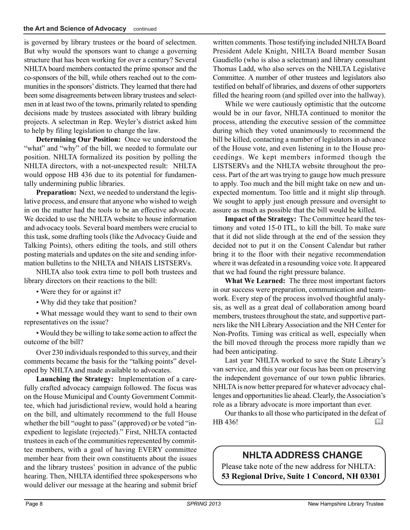is governed by library trustees or the board of selectmen. But why would the sponsors want to change a governing structure that has been working for over a century? Several NHLTA board members contacted the prime sponsor and the co-sponsors of the bill, while others reached out to the communities in the sponsors' districts. They learned that there had been some disagreements between library trustees and selectmen in at least two of the towns, primarily related to spending decisions made by trustees associated with library building projects. A selectman in Rep. Weyler's district asked him to help by filing legislation to change the law.

**Determining Our Position:** Once we understood the "what" and "why" of the bill, we needed to formulate our position. NHLTA formalized its position by polling the NHLTA directors, with a not-unexpected result: NHLTA would oppose HB 436 due to its potential for fundamentally undermining public libraries.

**Preparation:** Next, we needed to understand the legislative process, and ensure that anyone who wished to weigh in on the matter had the tools to be an effective advocate. We decided to use the NHLTA website to house information and advocacy tools. Several board members were crucial to this task, some drafting tools (like the Advocacy Guide and Talking Points), others editing the tools, and still others posting materials and updates on the site and sending information bulletins to the NHLTA and NHAIS LISTSERVs.

NHLTA also took extra time to poll both trustees and library directors on their reactions to the bill:

• Were they for or against it?

• Why did they take that position?

• What message would they want to send to their own representatives on the issue?

• Would they be willing to take some action to affect the outcome of the bill?

Over 230 individuals responded to this survey, and their comments became the basis for the "talking points" developed by NHLTA and made available to advocates.

**Launching the Strategy:** Implementation of a carefully crafted advocacy campaign followed. The focus was on the House Municipal and County Government Committee, which had jurisdictional review, would hold a hearing on the bill, and ultimately recommend to the full House whether the bill "ought to pass" (approved) or be voted "inexpedient to legislate (rejected)." First, NHLTA contacted trustees in each of the communities represented by committee members, with a goal of having EVERY committee member hear from their own constituents about the issues and the library trustees' position in advance of the public hearing. Then, NHLTA identified three spokespersons who would deliver our message at the hearing and submit brief written comments. Those testifying included NHLTA Board President Adele Knight, NHLTA Board member Susan Gaudiello (who is also a selectman) and library consultant Thomas Ladd, who also serves on the NHLTA Legislative Committee. A number of other trustees and legislators also testified on behalf of libraries, and dozens of other supporters filled the hearing room (and spilled over into the hallway).

While we were cautiously optimistic that the outcome would be in our favor, NHLTA continued to monitor the process, attending the executive session of the committee during which they voted unanimously to recommend the bill be killed, contacting a number of legislators in advance of the House vote, and even listening in to the House proceedings. We kept members informed though the LISTSERVs and the NHLTA website throughout the process. Part of the art was trying to gauge how much pressure to apply. Too much and the bill might take on new and unexpected momentum. Too little and it might slip through. We sought to apply just enough pressure and oversight to assure as much as possible that the bill would be killed.

**Impact of the Strategy:** The Committee heard the testimony and voted 15-0 ITL, to kill the bill. To make sure that it did not slide through at the end of the session they decided not to put it on the Consent Calendar but rather bring it to the floor with their negative recommendation where it was defeated in a resounding voice vote. It appeared that we had found the right pressure balance.

**What We Learned:** The three most important factors in our success were preparation, communication and teamwork. Every step of the process involved thoughtful analysis, as well as a great deal of collaboration among board members, trustees throughout the state, and supportive partners like the NH Library Association and the NH Center for Non-Profits. Timing was critical as well, especially when the bill moved through the process more rapidly than we had been anticipating.

Last year NHLTA worked to save the State Library's van service, and this year our focus has been on preserving the independent governance of our town public libraries. NHLTA is now better prepared for whatever advocacy challenges and opportunities lie ahead. Clearly, the Association's role as a library advocate is more important than ever.

Our thanks to all those who participated in the defeat of HB 436! 

# **NHLTA ADDRESS CHANGE**

Please take note of the new address for NHLTA: **53 Regional Drive, Suite 1 Concord, NH 03301**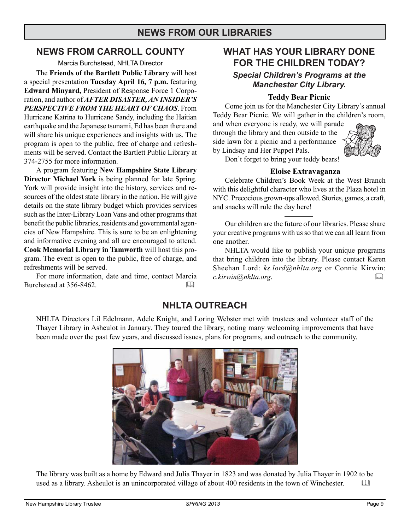# **NEWS FROM OUR LIBRARIES**

#### **NEWS FROM CARROLL COUNTY**

Marcia Burchstead, NHLTA Director

The **Friends of the Bartlett Public Library** will host a special presentation **Tuesday April 16, 7 p.m.** featuring **Edward Minyard,** President of Response Force 1 Corporation, and author of *AFTER DISASTER, AN INSIDER'S PERSPECTIVE FROM THE HEART OF CHAOS*. From Hurricane Katrina to Hurricane Sandy, including the Haitian earthquake and the Japanese tsunami, Ed has been there and will share his unique experiences and insights with us. The program is open to the public, free of charge and refreshments will be served. Contact the Bartlett Public Library at 374-2755 for more information.

A program featuring **New Hampshire State Library Director Michael York** is being planned for late Spring. York will provide insight into the history, services and resources of the oldest state library in the nation. He will give details on the state library budget which provides services such as the Inter-Library Loan Vans and other programs that benefit the public libraries, residents and governmental agencies of New Hampshire. This is sure to be an enlightening and informative evening and all are encouraged to attend. **Cook Memorial Library in Tamworth** will host this program. The event is open to the public, free of charge, and refreshments will be served.

For more information, date and time, contact Marcia Burchstead at 356-8462.

# **WHAT HAS YOUR LIBRARY DONE FOR THE CHILDREN TODAY?**

#### *Special Children's Programs at the Manchester City Library.*

#### **Teddy Bear Picnic**

Come join us for the Manchester City Library's annual Teddy Bear Picnic. We will gather in the children's room,

and when everyone is ready, we will parade through the library and then outside to the side lawn for a picnic and a performance by Lindsay and Her Puppet Pals.



Don't forget to bring your teddy bears!

#### **Eloise Extravaganza**

Celebrate Children's Book Week at the West Branch with this delightful character who lives at the Plaza hotel in NYC. Precocious grown-ups allowed. Stories, games, a craft, and snacks will rule the day here!

Our children are the future of our libraries. Please share your creative programs with us so that we can all learn from one another.

NHLTA would like to publish your unique programs that bring children into the library. Please contact Karen Sheehan Lord: *ks.lord@nhlta.org* or Connie Kirwin: *c.kirwin@nhlta.org*. 

# **NHLTA OUTREACH**

NHLTA Directors Lil Edelmann, Adele Knight, and Loring Webster met with trustees and volunteer staff of the Thayer Library in Asheulot in January. They toured the library, noting many welcoming improvements that have been made over the past few years, and discussed issues, plans for programs, and outreach to the community.



The library was built as a home by Edward and Julia Thayer in 1823 and was donated by Julia Thayer in 1902 to be used as a library. Asheulot is an unincorporated village of about 400 residents in the town of Winchester.  $\Box$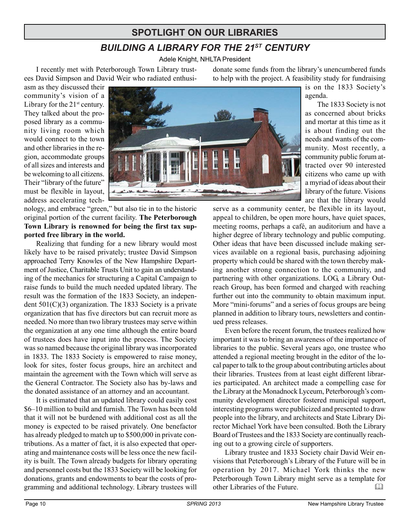# **SPOTLIGHT ON OUR LIBRARIES**

# *BUILDING A LIBRARY FOR THE 21ST CENTURY*

Adele Knight, NHLTA President

I recently met with Peterborough Town Library trustees David Simpson and David Weir who radiated enthusidonate some funds from the library's unencumbered funds to help with the project. A feasibility study for fundraising

agenda.

asm as they discussed their community's vision of a Library for the  $21<sup>st</sup>$  century. They talked about the proposed library as a community living room which would connect to the town and other libraries in the region, accommodate groups of all sizes and interests and be welcoming to all citizens. Their "library of the future" must be flexible in layout, address accelerating tech-

nology, and embrace "green," but also tie in to the historic original portion of the current facility. **The Peterborough Town Library is renowned for being the first tax supported free library in the world.**

Realizing that funding for a new library would most likely have to be raised privately; trustee David Simpson approached Terry Knowles of the New Hampshire Department of Justice, Charitable Trusts Unit to gain an understanding of the mechanics for structuring a Capital Campaign to raise funds to build the much needed updated library. The result was the formation of the 1833 Society, an independent  $501(C)(3)$  organization. The 1833 Society is a private organization that has five directors but can recruit more as needed. No more than two library trustees may serve within the organization at any one time although the entire board of trustees does have input into the process. The Society was so named because the original library was incorporated in 1833. The 1833 Society is empowered to raise money, look for sites, foster focus groups, hire an architect and maintain the agreement with the Town which will serve as the General Contractor. The Society also has by-laws and the donated assistance of an attorney and an accountant.

It is estimated that an updated library could easily cost \$6–10 million to build and furnish. The Town has been told that it will not be burdened with additional cost as all the money is expected to be raised privately. One benefactor has already pledged to match up to \$500,000 in private contributions. As a matter of fact, it is also expected that operating and maintenance costs will be less once the new facility is built. The Town already budgets for library operating and personnel costs but the 1833 Society will be looking for donations, grants and endowments to bear the costs of programming and additional technology. Library trustees will



The 1833 Society is not as concerned about bricks and mortar at this time as it is about finding out the needs and wants of the community. Most recently, a community public forum attracted over 90 interested citizens who came up with a myriad of ideas about their library of the future. Visions

are that the library would

is on the 1833 Society's

serve as a community center, be flexible in its layout, appeal to children, be open more hours, have quiet spaces, meeting rooms, perhaps a café, an auditorium and have a higher degree of library technology and public computing. Other ideas that have been discussed include making services available on a regional basis, purchasing adjoining property which could be shared with the town thereby making another strong connection to the community, and partnering with other organizations. LOG, a Library Outreach Group, has been formed and charged with reaching further out into the community to obtain maximum input. More "mini-forums" and a series of focus groups are being planned in addition to library tours, newsletters and continued press releases.

Even before the recent forum, the trustees realized how important it was to bring an awareness of the importance of libraries to the public. Several years ago, one trustee who attended a regional meeting brought in the editor of the local paper to talk to the group about contributing articles about their libraries. Trustees from at least eight different libraries participated. An architect made a compelling case for the Library at the Monadnock Lyceum, Peterborough's community development director fostered municipal support, interesting programs were publicized and presented to draw people into the library, and architects and State Library Director Michael York have been consulted. Both the Library Board of Trustees and the 1833 Society are continually reaching out to a growing circle of supporters.

Library trustee and 1833 Society chair David Weir envisions that Peterborough's Library of the Future will be in operation by 2017. Michael York thinks the new Peterborough Town Library might serve as a template for other Libraries of the Future.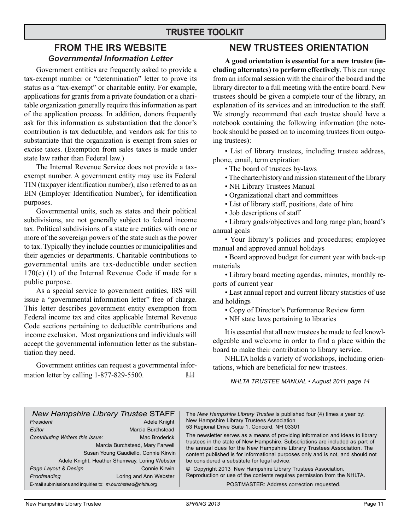#### **FROM THE IRS WEBSITE** *Governmental Information Letter*

Government entities are frequently asked to provide a tax-exempt number or "determination" letter to prove its status as a "tax-exempt" or charitable entity. For example, applications for grants from a private foundation or a charitable organization generally require this information as part of the application process. In addition, donors frequently ask for this information as substantiation that the donor's contribution is tax deductible, and vendors ask for this to substantiate that the organization is exempt from sales or excise taxes. (Exemption from sales taxes is made under state law rather than Federal law.)

The Internal Revenue Service does not provide a taxexempt number. A government entity may use its Federal TIN (taxpayer identification number), also referred to as an EIN (Employer Identification Number), for identification purposes.

Governmental units, such as states and their political subdivisions, are not generally subject to federal income tax. Political subdivisions of a state are entities with one or more of the sovereign powers of the state such as the power to tax. Typically they include counties or municipalities and their agencies or departments. Charitable contributions to governmental units are tax-deductible under section 170(c) (1) of the Internal Revenue Code if made for a public purpose.

As a special service to government entities, IRS will issue a "governmental information letter" free of charge. This letter describes government entity exemption from Federal income tax and cites applicable Internal Revenue Code sections pertaining to deductible contributions and income exclusion. Most organizations and individuals will accept the governmental information letter as the substantiation they need.

Government entities can request a governmental information letter by calling 1-877-829-5500. 

### **NEW TRUSTEES ORIENTATION**

**A good orientation is essential for a new trustee (including alternates) to perform effectively**. This can range from an informal session with the chair of the board and the library director to a full meeting with the entire board. New trustees should be given a complete tour of the library, an explanation of its services and an introduction to the staff. We strongly recommend that each trustee should have a notebook containing the following information (the notebook should be passed on to incoming trustees from outgoing trustees):

• List of library trustees, including trustee address, phone, email, term expiration

- The board of trustees by-laws
- The charter/history and mission statement of the library
- NH Library Trustees Manual
- Organizational chart and committees
- List of library staff, positions, date of hire
- Job descriptions of staff
- Library goals/objectives and long range plan; board's annual goals
- Your library's policies and procedures; employee manual and approved annual holidays
- Board approved budget for current year with back-up materials

• Library board meeting agendas, minutes, monthly reports of current year

• Last annual report and current library statistics of use and holdings

• Copy of Director's Performance Review form

• NH state laws pertaining to libraries

It is essential that all new trustees be made to feel knowledgeable and welcome in order to find a place within the board to make their contribution to library service.

NHLTA holds a variety of workshops, including orientations, which are beneficial for new trustees.

*NHLTA TRUSTEE MANUAL • August 2011 page 14*

| <b>New Hampshire Library Trustee STAFF</b><br>President<br>Editor<br>Contributing Writers this issue: | Adele Knight<br>Marcia Burchstead<br>Mac Broderick<br>Marcia Burchstead, Mary Farwell<br>Susan Young Gaudiello, Connie Kirwin<br>Adele Knight, Heather Shumway, Loring Webster | The New Hampshire Library Trustee is published four (4) times a year by:<br>New Hampshire Library Trustees Association<br>53 Regional Drive Suite 1, Concord, NH 03301<br>The newsletter serves as a means of providing information and ideas to library<br>trustees in the state of New Hampshire. Subscriptions are included as part of<br>the annual dues for the New Hampshire Library Trustees Association. The<br>content published is for informational purposes only and is not, and should not<br>be considered a substitute for legal advice. |
|-------------------------------------------------------------------------------------------------------|--------------------------------------------------------------------------------------------------------------------------------------------------------------------------------|---------------------------------------------------------------------------------------------------------------------------------------------------------------------------------------------------------------------------------------------------------------------------------------------------------------------------------------------------------------------------------------------------------------------------------------------------------------------------------------------------------------------------------------------------------|
| Page Layout & Design<br>Proofreading                                                                  | Connie Kirwin<br>Loring and Ann Webster                                                                                                                                        | © Copyright 2013 New Hampshire Library Trustees Association.<br>Reproduction or use of the contents requires permission from the NHLTA.                                                                                                                                                                                                                                                                                                                                                                                                                 |
| E-mail submissions and inquiries to: m.burchstead@nhlta.org                                           |                                                                                                                                                                                | POSTMASTER: Address correction requested.                                                                                                                                                                                                                                                                                                                                                                                                                                                                                                               |